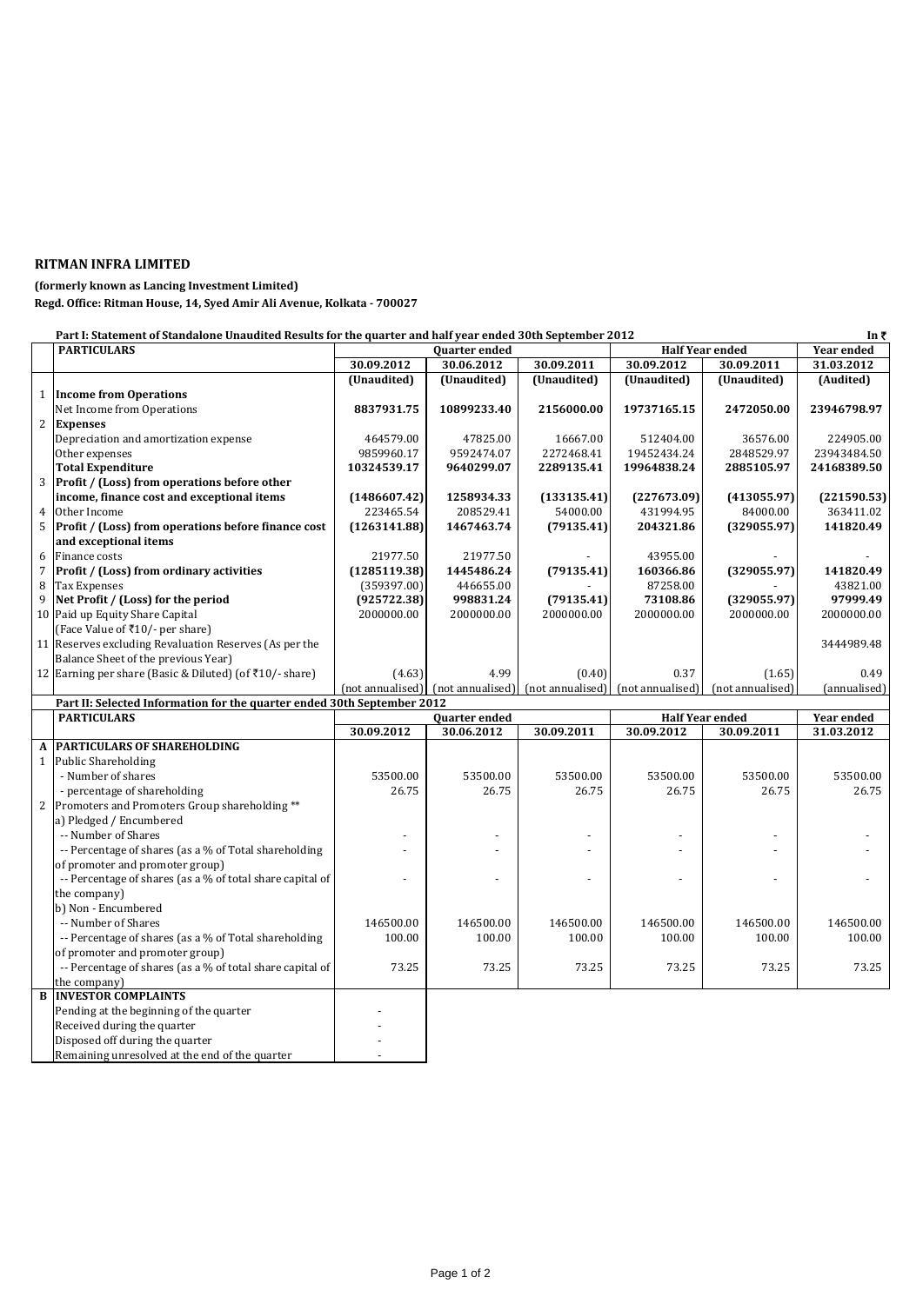## **RITMAN INFRA LIMITED**

## **(formerly known as Lancing Investment Limited)**

**Regd. Office: Ritman House, 14, Syed Amir Ali Avenue, Kolkata - 700027**

|                | Part I: Statement of Standalone Unaudited Results for the quarter and half year ended 30th September 2012 |                  |                      |                                   |                        | In₹                    |              |
|----------------|-----------------------------------------------------------------------------------------------------------|------------------|----------------------|-----------------------------------|------------------------|------------------------|--------------|
|                | <b>PARTICULARS</b>                                                                                        |                  | <b>Quarter</b> ended |                                   | <b>Half Year ended</b> |                        | Year ended   |
|                |                                                                                                           | 30.09.2012       | 30.06.2012           | 30.09.2011                        | 30.09.2012             | 30.09.2011             | 31.03.2012   |
|                |                                                                                                           | (Unaudited)      | (Unaudited)          | (Unaudited)                       | (Unaudited)            | (Unaudited)            | (Audited)    |
| $\mathbf{1}$   | <b>Income from Operations</b>                                                                             |                  |                      |                                   |                        |                        |              |
|                | Net Income from Operations                                                                                | 8837931.75       | 10899233.40          | 2156000.00                        | 19737165.15            | 2472050.00             | 23946798.97  |
| 2              | <b>Expenses</b>                                                                                           |                  |                      |                                   |                        |                        |              |
|                | Depreciation and amortization expense                                                                     | 464579.00        | 47825.00             | 16667.00                          | 512404.00              | 36576.00               | 224905.00    |
|                | Other expenses                                                                                            | 9859960.17       | 9592474.07           | 2272468.41                        | 19452434.24            | 2848529.97             | 23943484.50  |
|                | <b>Total Expenditure</b>                                                                                  | 10324539.17      | 9640299.07           | 2289135.41                        | 19964838.24            | 2885105.97             | 24168389.50  |
| 3              | Profit / (Loss) from operations before other                                                              |                  |                      |                                   |                        |                        |              |
|                | income, finance cost and exceptional items                                                                | (1486607.42)     | 1258934.33           | (133135.41)                       | (227673.09)            | (413055.97)            | (221590.53)  |
| $\overline{4}$ | Other Income                                                                                              | 223465.54        | 208529.41            | 54000.00                          | 431994.95              | 84000.00               | 363411.02    |
| 5              | Profit / (Loss) from operations before finance cost                                                       | (1263141.88)     | 1467463.74           | (79135.41)                        | 204321.86              | (329055.97)            | 141820.49    |
|                | and exceptional items                                                                                     |                  |                      |                                   |                        |                        |              |
| 6              | Finance costs                                                                                             | 21977.50         | 21977.50             |                                   | 43955.00               |                        |              |
| $\overline{7}$ | Profit / (Loss) from ordinary activities                                                                  | (1285119.38)     | 1445486.24           | (79135.41)                        | 160366.86              | (329055.97)            | 141820.49    |
| 8              | <b>Tax Expenses</b>                                                                                       | (359397.00)      | 446655.00            |                                   | 87258.00               |                        | 43821.00     |
| 9              | Net Profit / (Loss) for the period                                                                        | (925722.38)      | 998831.24            | (79135.41)                        | 73108.86               | (329055.97)            | 97999.49     |
|                | 10 Paid up Equity Share Capital                                                                           | 2000000.00       | 2000000.00           | 2000000.00                        | 2000000.00             | 2000000.00             | 2000000.00   |
|                | (Face Value of ₹10/- per share)                                                                           |                  |                      |                                   |                        |                        |              |
|                | 11 Reserves excluding Revaluation Reserves (As per the                                                    |                  |                      |                                   |                        |                        | 3444989.48   |
|                | Balance Sheet of the previous Year)                                                                       |                  |                      |                                   |                        |                        |              |
|                | 12 Earning per share (Basic & Diluted) (of ₹10/-share)                                                    | (4.63)           | 4.99                 | (0.40)                            | 0.37                   | (1.65)                 | 0.49         |
|                |                                                                                                           |                  | (not annualised)     | (not annualised) (not annualised) |                        | (not annualised)       | (annualised) |
|                |                                                                                                           | (not annualised) |                      |                                   |                        |                        |              |
|                | Part II: Selected Information for the quarter ended 30th September 2012                                   |                  |                      |                                   |                        |                        |              |
|                | <b>PARTICULARS</b>                                                                                        |                  | Quarter ended        |                                   |                        | <b>Half Year ended</b> | Year ended   |
|                |                                                                                                           | 30.09.2012       | 30.06.2012           | 30.09.2011                        | 30.09.2012             | 30.09.2011             | 31.03.2012   |
| $\mathbf A$    | <b>PARTICULARS OF SHAREHOLDING</b>                                                                        |                  |                      |                                   |                        |                        |              |
| $\mathbf{1}$   | <b>Public Shareholding</b>                                                                                |                  |                      |                                   |                        |                        |              |
|                | - Number of shares                                                                                        | 53500.00         | 53500.00             | 53500.00                          | 53500.00               | 53500.00               | 53500.00     |
|                | - percentage of shareholding                                                                              | 26.75            | 26.75                | 26.75                             | 26.75                  | 26.75                  | 26.75        |
| 2              | Promoters and Promoters Group shareholding **                                                             |                  |                      |                                   |                        |                        |              |
|                | a) Pledged / Encumbered                                                                                   |                  |                      |                                   |                        |                        |              |
|                | -- Number of Shares                                                                                       |                  |                      |                                   |                        |                        |              |
|                | -- Percentage of shares (as a % of Total shareholding                                                     |                  |                      |                                   |                        |                        |              |
|                | of promoter and promoter group)                                                                           |                  |                      |                                   |                        |                        |              |
|                | -- Percentage of shares (as a % of total share capital of                                                 |                  |                      |                                   |                        |                        |              |
|                | the company)                                                                                              |                  |                      |                                   |                        |                        |              |
|                | b) Non - Encumbered                                                                                       |                  |                      |                                   |                        |                        |              |
|                | -- Number of Shares                                                                                       | 146500.00        | 146500.00            | 146500.00                         | 146500.00              | 146500.00              | 146500.00    |
|                | -- Percentage of shares (as a % of Total shareholding                                                     | 100.00           | 100.00               | 100.00                            | 100.00                 | 100.00                 | 100.00       |
|                | of promoter and promoter group)                                                                           |                  |                      |                                   |                        |                        |              |
|                | -- Percentage of shares (as a % of total share capital of                                                 | 73.25            | 73.25                | 73.25                             | 73.25                  | 73.25                  | 73.25        |
|                | the company)                                                                                              |                  |                      |                                   |                        |                        |              |
| $\bf{B}$       | <b>INVESTOR COMPLAINTS</b>                                                                                |                  |                      |                                   |                        |                        |              |
|                | Pending at the beginning of the quarter                                                                   |                  |                      |                                   |                        |                        |              |
|                | Received during the quarter                                                                               |                  |                      |                                   |                        |                        |              |
|                | Disposed off during the quarter                                                                           |                  |                      |                                   |                        |                        |              |